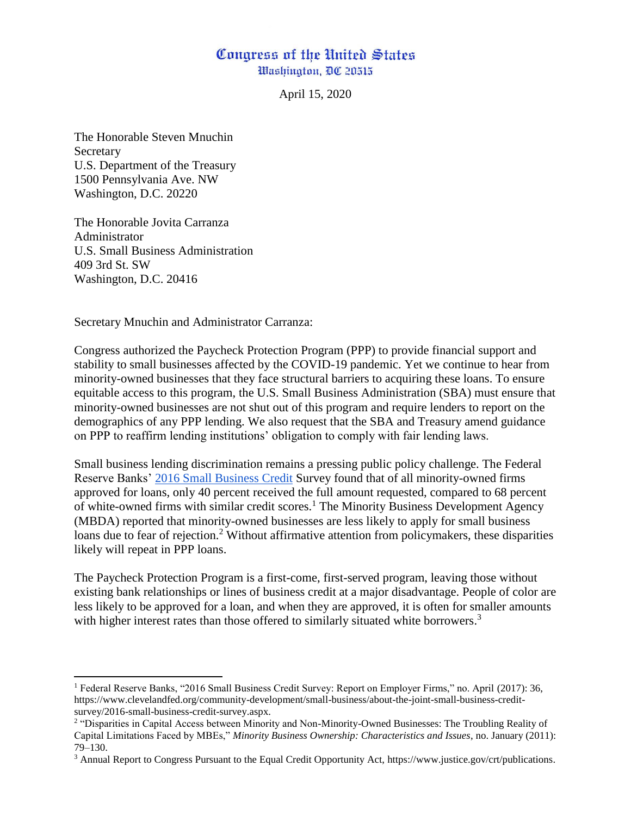## Congress of the United States Washington, DC 20515

April 15, 2020

The Honorable Steven Mnuchin Secretary U.S. Department of the Treasury 1500 Pennsylvania Ave. NW Washington, D.C. 20220

The Honorable Jovita Carranza Administrator U.S. Small Business Administration 409 3rd St. SW Washington, D.C. 20416

 $\overline{a}$ 

Secretary Mnuchin and Administrator Carranza:

Congress authorized the Paycheck Protection Program (PPP) to provide financial support and stability to small businesses affected by the COVID-19 pandemic. Yet we continue to hear from minority-owned businesses that they face structural barriers to acquiring these loans. To ensure equitable access to this program, the U.S. Small Business Administration (SBA) must ensure that minority-owned businesses are not shut out of this program and require lenders to report on the demographics of any PPP lending. We also request that the SBA and Treasury amend guidance on PPP to reaffirm lending institutions' obligation to comply with fair lending laws.

Small business lending discrimination remains a pressing public policy challenge. The Federal Reserve Banks' [2016 Small Business Credit](https://www.newyorkfed.org/medialibrary/media/smallbusiness/2016/SBCS-Report-EmployerFirms-2016.pdf) Survey found that of all minority-owned firms approved for loans, only 40 percent received the full amount requested, compared to 68 percent of white-owned firms with similar credit scores.<sup>1</sup> The Minority Business Development Agency (MBDA) reported that minority-owned businesses are less likely to apply for small business loans due to fear of rejection.<sup>2</sup> Without affirmative attention from policymakers, these disparities likely will repeat in PPP loans.

The Paycheck Protection Program is a first-come, first-served program, leaving those without existing bank relationships or lines of business credit at a major disadvantage. People of color are less likely to be approved for a loan, and when they are approved, it is often for smaller amounts with higher interest rates than those offered to similarly situated white borrowers.<sup>3</sup>

<sup>1</sup> Federal Reserve Banks, "2016 Small Business Credit Survey: Report on Employer Firms," no. April (2017): 36, https://www.clevelandfed.org/community-development/small-business/about-the-joint-small-business-creditsurvey/2016-small-business-credit-survey.aspx.

<sup>&</sup>lt;sup>2</sup> "Disparities in Capital Access between Minority and Non-Minority-Owned Businesses: The Troubling Reality of Capital Limitations Faced by MBEs," *Minority Business Ownership: Characteristics and Issues*, no. January (2011): 79–130.

<sup>3</sup> Annual Report to Congress Pursuant to the Equal Credit Opportunity Act, https://www.justice.gov/crt/publications.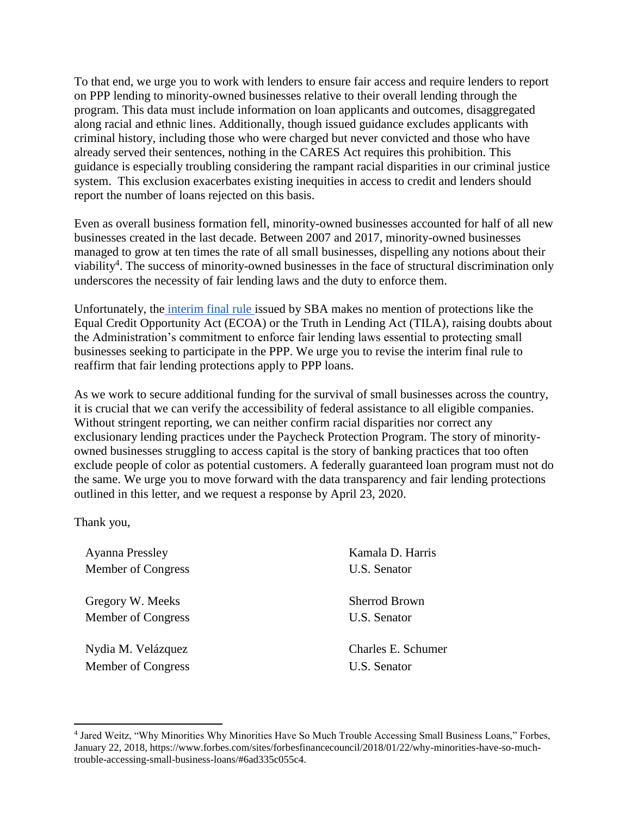To that end, we urge you to work with lenders to ensure fair access and require lenders to report on PPP lending to minority-owned businesses relative to their overall lending through the program. This data must include information on loan applicants and outcomes, disaggregated along racial and ethnic lines. Additionally, though issued guidance excludes applicants with criminal history, including those who were charged but never convicted and those who have already served their sentences, nothing in the CARES Act requires this prohibition. This guidance is especially troubling considering the rampant racial disparities in our criminal justice system. This exclusion exacerbates existing inequities in access to credit and lenders should report the number of loans rejected on this basis.

Even as overall business formation fell, minority-owned businesses accounted for half of all new businesses created in the last decade. Between 2007 and 2017, minority-owned businesses managed to grow at ten times the rate of all small businesses, dispelling any notions about their viability<sup>4</sup>. The success of minority-owned businesses in the face of structural discrimination only underscores the necessity of fair lending laws and the duty to enforce them.

Unfortunately, the [interim final rule i](https://home.treasury.gov/system/files/136/PPP--IFRN%20FINAL.pdf)ssued by SBA makes no mention of protections like the Equal Credit Opportunity Act (ECOA) or the Truth in Lending Act (TILA), raising doubts about the Administration's commitment to enforce fair lending laws essential to protecting small businesses seeking to participate in the PPP. We urge you to revise the interim final rule to reaffirm that fair lending protections apply to PPP loans.

As we work to secure additional funding for the survival of small businesses across the country, it is crucial that we can verify the accessibility of federal assistance to all eligible companies. Without stringent reporting, we can neither confirm racial disparities nor correct any exclusionary lending practices under the Paycheck Protection Program. The story of minorityowned businesses struggling to access capital is the story of banking practices that too often exclude people of color as potential customers. A federally guaranteed loan program must not do the same. We urge you to move forward with the data transparency and fair lending protections outlined in this letter, and we request a response by April 23, 2020.

Thank you,

 $\overline{\phantom{a}}$ 

Ayanna Pressley Kamala D. Harris Member of Congress U.S. Senator

Gregory W. Meeks Sherrod Brown Member of Congress U.S. Senator

Nydia M. Velázquez Charles E. Schumer Member of Congress U.S. Senator

<sup>4</sup> Jared Weitz, "Why Minorities Why Minorities Have So Much Trouble Accessing Small Business Loans," Forbes, January 22, 2018, https://www.forbes.com/sites/forbesfinancecouncil/2018/01/22/why-minorities-have-so-muchtrouble-accessing-small-business-loans/#6ad335c055c4.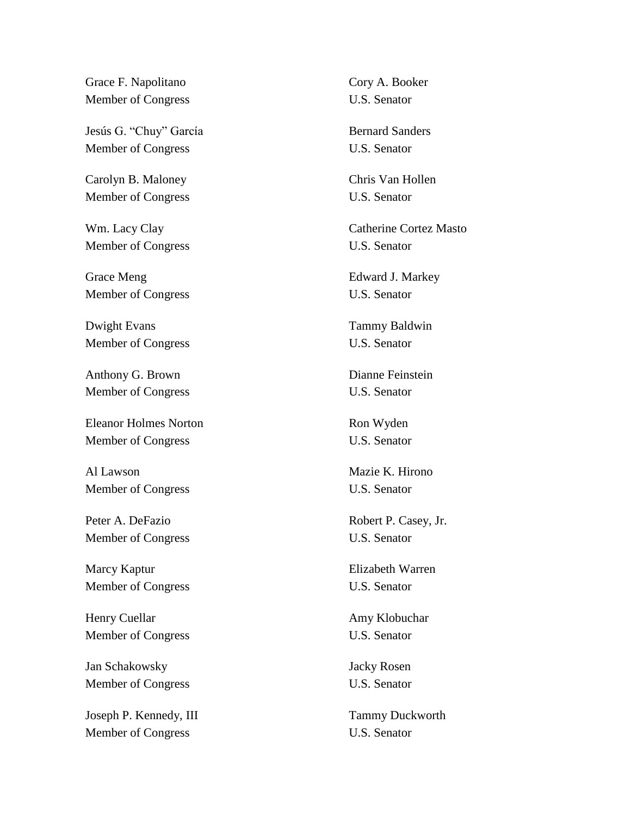Grace F. Napolitano Cory A. Booker Member of Congress U.S. Senator

Jesús G. "Chuy" García Bernard Sanders Member of Congress U.S. Senator

Carolyn B. Maloney Chris Van Hollen Member of Congress U.S. Senator

Member of Congress U.S. Senator

Grace Meng **Edward J. Markey** Member of Congress U.S. Senator

Dwight Evans Tammy Baldwin Member of Congress U.S. Senator

Anthony G. Brown Dianne Feinstein Member of Congress U.S. Senator

Eleanor Holmes Norton Ron Wyden Member of Congress U.S. Senator

Al Lawson Mazie K. Hirono Member of Congress U.S. Senator

Peter A. DeFazio Robert P. Casey, Jr. Member of Congress U.S. Senator

Marcy Kaptur **Elizabeth Warren** Member of Congress U.S. Senator

Henry Cuellar **Amy Klobuchar** Amy Klobuchar Member of Congress U.S. Senator

Jan Schakowsky Jacky Rosen Member of Congress U.S. Senator

Joseph P. Kennedy, III Tammy Duckworth Member of Congress U.S. Senator

Wm. Lacy Clay Catherine Cortez Masto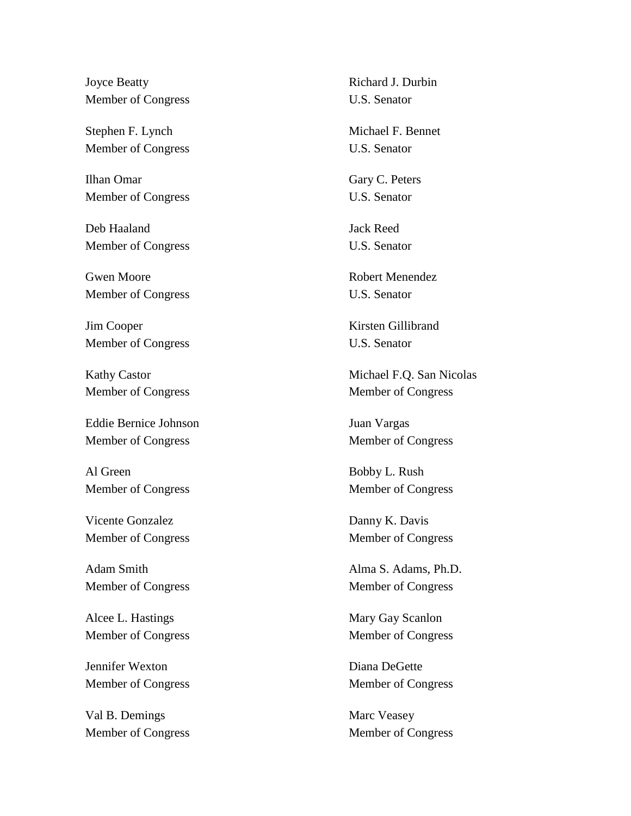Joyce Beatty Richard J. Durbin Member of Congress U.S. Senator

Stephen F. Lynch Michael F. Bennet Member of Congress U.S. Senator

Ilhan Omar Gary C. Peters Member of Congress U.S. Senator

Deb Haaland Jack Reed Member of Congress U.S. Senator

Gwen Moore Robert Menendez Member of Congress U.S. Senator

Jim Cooper Kirsten Gillibrand Member of Congress U.S. Senator

Eddie Bernice Johnson Juan Vargas Member of Congress Member of Congress

Al Green Bobby L. Rush Member of Congress Member of Congress

Vicente Gonzalez Danny K. Davis

Adam Smith Alma S. Adams, Ph.D.

Alcee L. Hastings Mary Gay Scanlon Member of Congress Member of Congress

Jennifer Wexton Diana DeGette Member of Congress Member of Congress

Val B. Demings Marc Veasey Member of Congress Member of Congress

Kathy Castor Michael F.Q. San Nicolas Member of Congress Member of Congress

Member of Congress Member of Congress

Member of Congress Member of Congress